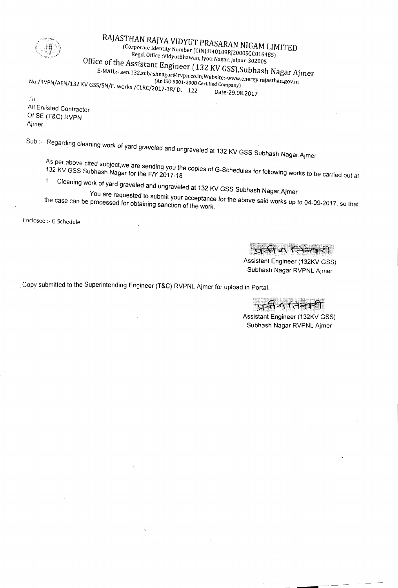

10

## RAJASTHAN RAJYA VIDYUT PRASARAN NIGAM LIMITED (Corporate Identity Number (CIN):U40109R!ZOOOSGC01648S)

Regd. Office : VidyutBhawan, Jyoti Nagar, Jaipur-302005

Office of the Assistant Engineer (132 KV GSS), Subhash Nagar Ajmer

 $\sum_{i=1}^{\infty}$ subashnagar@rvpn.co.in;Website:-www.energy.rajasthan.gov.in.gov.in.gov.in.gov.in.gov.in.gov.in.gov.in.gov.in.gov.in.gov.in.gov.in.gov.in.gov.in.gov.in.gov.in.gov.in.gov.in.gov.in.gov.in.gov.in.gov.in.gov.in.

(An ISO9001-2008 Certified Company) No./RVPN/AEN/132 KV GSS/SN/F. works /CLRC/2017-18/ D. 122 Date-29.08.2017

All Enlisted Contractor Of SE (T&C) RVPN Ajmer

Sub.:- Regarding cleaning work of yard graveled and ungraveled at 132 KV GSS Subhash Nagar, Ajmer

As per above cited subject,we are sending you the copies of G-Schedules for following works to be carried out at

1. Cleaning work of yard graveled and ungraveled at 132 KV GSS Subhash Nagar,Ajmer

You are requested to submit your acceptance for the above said works up to 04-09-2017, so that the case can be processed for obtaining sanction of the work.

Enclosed ;- G Schedule

प्रसिंग लिन्कडी

Assistant Engineer (132KV GSS) Subhash Nagar RVPNL Ajmer

Copy submitted to the Superintending Engineer (T&C) RVPNL Ajmer for upload in Portal.

ন্দ্ৰধৰ্ম নিৰক্ষী

Assistant Engineer (132KV GSS) Subhash Nagar RVPNL Ajmer

-